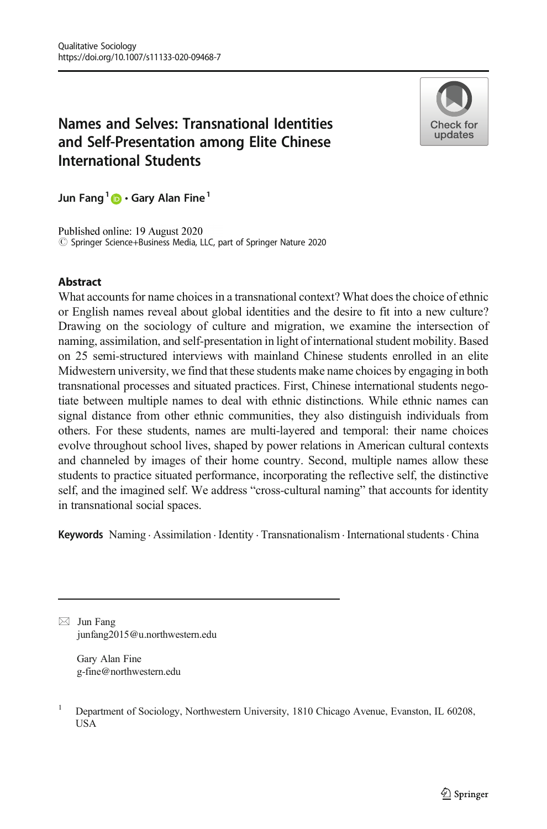# Names and Selves: Transnational Identities and Self-Presentation among Elite Chinese International Students



Jun Fang<sup>1</sup>  $\bullet$  Gary Alan Fine<sup>1</sup>

Published online: 19 August 2020  $\circled{c}$  Springer Science+Business Media, LLC, part of Springer Nature 2020

## Abstract

What accounts for name choices in a transnational context? What does the choice of ethnic or English names reveal about global identities and the desire to fit into a new culture? Drawing on the sociology of culture and migration, we examine the intersection of naming, assimilation, and self-presentation in light of international student mobility. Based on 25 semi-structured interviews with mainland Chinese students enrolled in an elite Midwestern university, we find that these students make name choices by engaging in both transnational processes and situated practices. First, Chinese international students negotiate between multiple names to deal with ethnic distinctions. While ethnic names can signal distance from other ethnic communities, they also distinguish individuals from others. For these students, names are multi-layered and temporal: their name choices evolve throughout school lives, shaped by power relations in American cultural contexts and channeled by images of their home country. Second, multiple names allow these students to practice situated performance, incorporating the reflective self, the distinctive self, and the imagined self. We address "cross-cultural naming" that accounts for identity in transnational social spaces.

Keywords Naming . Assimilation . Identity . Transnationalism . International students . China

 $\boxtimes$  Jun Fang [junfang2015@u.northwestern.edu](mailto:junfang2015@u.northwestern.edu)

> Gary Alan Fine g-fine@northwestern.edu

<sup>1</sup> Department of Sociology, Northwestern University, 1810 Chicago Avenue, Evanston, IL 60208, USA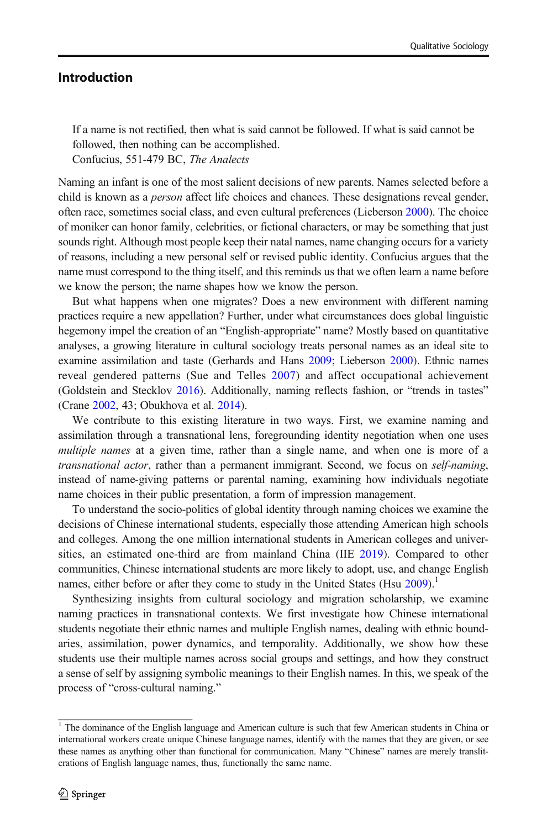## Introduction

If a name is not rectified, then what is said cannot be followed. If what is said cannot be followed, then nothing can be accomplished. Confucius, 551-479 BC, The Analects

Naming an infant is one of the most salient decisions of new parents. Names selected before a child is known as a *person* affect life choices and chances. These designations reveal gender, often race, sometimes social class, and even cultural preferences (Lieberson [2000\)](#page-20-0). The choice of moniker can honor family, celebrities, or fictional characters, or may be something that just sounds right. Although most people keep their natal names, name changing occurs for a variety of reasons, including a new personal self or revised public identity. Confucius argues that the name must correspond to the thing itself, and this reminds us that we often learn a name before we know the person; the name shapes how we know the person.

But what happens when one migrates? Does a new environment with different naming practices require a new appellation? Further, under what circumstances does global linguistic hegemony impel the creation of an "English-appropriate" name? Mostly based on quantitative analyses, a growing literature in cultural sociology treats personal names as an ideal site to examine assimilation and taste (Gerhards and Hans [2009;](#page-19-0) Lieberson [2000](#page-20-0)). Ethnic names reveal gendered patterns (Sue and Telles [2007\)](#page-20-0) and affect occupational achievement (Goldstein and Stecklov [2016](#page-20-0)). Additionally, naming reflects fashion, or "trends in tastes" (Crane [2002,](#page-19-0) 43; Obukhova et al. [2014](#page-20-0)).

We contribute to this existing literature in two ways. First, we examine naming and assimilation through a transnational lens, foregrounding identity negotiation when one uses multiple names at a given time, rather than a single name, and when one is more of a transnational actor, rather than a permanent immigrant. Second, we focus on self-naming, instead of name-giving patterns or parental naming, examining how individuals negotiate name choices in their public presentation, a form of impression management.

To understand the socio-politics of global identity through naming choices we examine the decisions of Chinese international students, especially those attending American high schools and colleges. Among the one million international students in American colleges and universities, an estimated one-third are from mainland China (IIE [2019](#page-20-0)). Compared to other communities, Chinese international students are more likely to adopt, use, and change English names, either before or after they come to study in the United States (Hsu  $2009$ ).<sup>1</sup>

Synthesizing insights from cultural sociology and migration scholarship, we examine naming practices in transnational contexts. We first investigate how Chinese international students negotiate their ethnic names and multiple English names, dealing with ethnic boundaries, assimilation, power dynamics, and temporality. Additionally, we show how these students use their multiple names across social groups and settings, and how they construct a sense of self by assigning symbolic meanings to their English names. In this, we speak of the process of "cross-cultural naming."

<sup>&</sup>lt;sup>1</sup> The dominance of the English language and American culture is such that few American students in China or international workers create unique Chinese language names, identify with the names that they are given, or see these names as anything other than functional for communication. Many "Chinese" names are merely transliterations of English language names, thus, functionally the same name.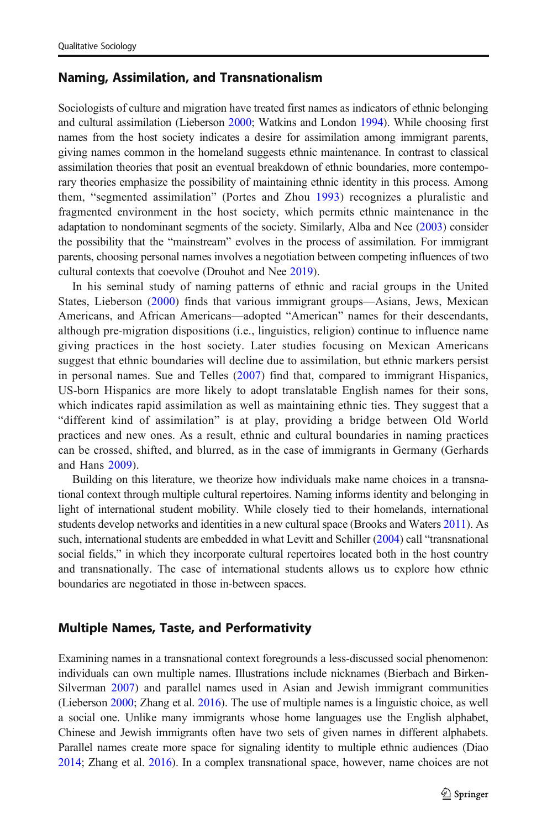#### Naming, Assimilation, and Transnationalism

Sociologists of culture and migration have treated first names as indicators of ethnic belonging and cultural assimilation (Lieberson [2000](#page-20-0); Watkins and London [1994](#page-20-0)). While choosing first names from the host society indicates a desire for assimilation among immigrant parents, giving names common in the homeland suggests ethnic maintenance. In contrast to classical assimilation theories that posit an eventual breakdown of ethnic boundaries, more contemporary theories emphasize the possibility of maintaining ethnic identity in this process. Among them, "segmented assimilation" (Portes and Zhou [1993](#page-20-0)) recognizes a pluralistic and fragmented environment in the host society, which permits ethnic maintenance in the adaptation to nondominant segments of the society. Similarly, Alba and Nee [\(2003\)](#page-19-0) consider the possibility that the "mainstream" evolves in the process of assimilation. For immigrant parents, choosing personal names involves a negotiation between competing influences of two cultural contexts that coevolve (Drouhot and Nee [2019\)](#page-19-0).

In his seminal study of naming patterns of ethnic and racial groups in the United States, Lieberson ([2000\)](#page-20-0) finds that various immigrant groups—Asians, Jews, Mexican Americans, and African Americans—adopted "American" names for their descendants, although pre-migration dispositions (i.e., linguistics, religion) continue to influence name giving practices in the host society. Later studies focusing on Mexican Americans suggest that ethnic boundaries will decline due to assimilation, but ethnic markers persist in personal names. Sue and Telles [\(2007\)](#page-20-0) find that, compared to immigrant Hispanics, US-born Hispanics are more likely to adopt translatable English names for their sons, which indicates rapid assimilation as well as maintaining ethnic ties. They suggest that a "different kind of assimilation" is at play, providing a bridge between Old World practices and new ones. As a result, ethnic and cultural boundaries in naming practices can be crossed, shifted, and blurred, as in the case of immigrants in Germany (Gerhards and Hans [2009](#page-19-0)).

Building on this literature, we theorize how individuals make name choices in a transnational context through multiple cultural repertoires. Naming informs identity and belonging in light of international student mobility. While closely tied to their homelands, international students develop networks and identities in a new cultural space (Brooks and Waters [2011\)](#page-19-0). As such, international students are embedded in what Levitt and Schiller ([2004](#page-20-0)) call "transnational social fields," in which they incorporate cultural repertoires located both in the host country and transnationally. The case of international students allows us to explore how ethnic boundaries are negotiated in those in-between spaces.

#### Multiple Names, Taste, and Performativity

Examining names in a transnational context foregrounds a less-discussed social phenomenon: individuals can own multiple names. Illustrations include nicknames (Bierbach and Birken-Silverman [2007](#page-19-0)) and parallel names used in Asian and Jewish immigrant communities (Lieberson [2000](#page-20-0); Zhang et al. [2016\)](#page-20-0). The use of multiple names is a linguistic choice, as well a social one. Unlike many immigrants whose home languages use the English alphabet, Chinese and Jewish immigrants often have two sets of given names in different alphabets. Parallel names create more space for signaling identity to multiple ethnic audiences (Diao [2014](#page-19-0); Zhang et al. [2016](#page-20-0)). In a complex transnational space, however, name choices are not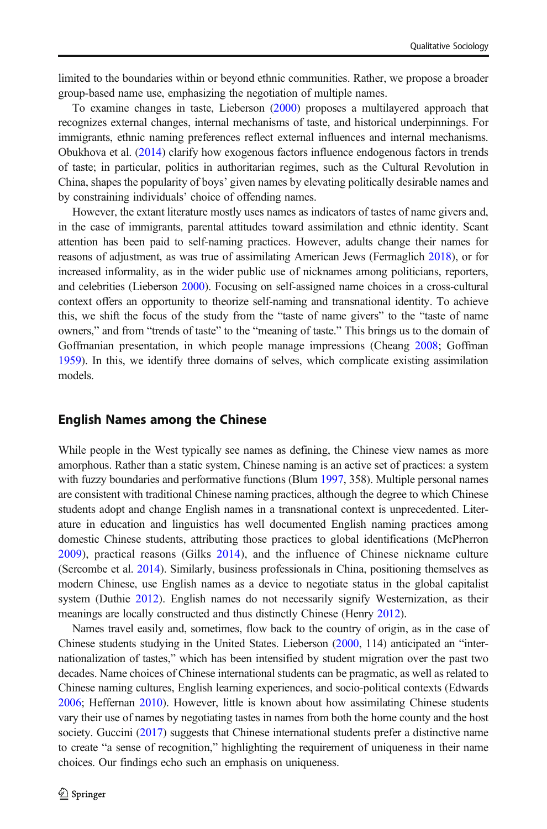limited to the boundaries within or beyond ethnic communities. Rather, we propose a broader group-based name use, emphasizing the negotiation of multiple names.

To examine changes in taste, Lieberson [\(2000](#page-20-0)) proposes a multilayered approach that recognizes external changes, internal mechanisms of taste, and historical underpinnings. For immigrants, ethnic naming preferences reflect external influences and internal mechanisms. Obukhova et al. ([2014](#page-20-0)) clarify how exogenous factors influence endogenous factors in trends of taste; in particular, politics in authoritarian regimes, such as the Cultural Revolution in China, shapes the popularity of boys' given names by elevating politically desirable names and by constraining individuals' choice of offending names.

However, the extant literature mostly uses names as indicators of tastes of name givers and, in the case of immigrants, parental attitudes toward assimilation and ethnic identity. Scant attention has been paid to self-naming practices. However, adults change their names for reasons of adjustment, as was true of assimilating American Jews (Fermaglich [2018\)](#page-19-0), or for increased informality, as in the wider public use of nicknames among politicians, reporters, and celebrities (Lieberson [2000](#page-20-0)). Focusing on self-assigned name choices in a cross-cultural context offers an opportunity to theorize self-naming and transnational identity. To achieve this, we shift the focus of the study from the "taste of name givers" to the "taste of name owners," and from "trends of taste" to the "meaning of taste." This brings us to the domain of Goffmanian presentation, in which people manage impressions (Cheang [2008](#page-19-0); Goffman [1959](#page-19-0)). In this, we identify three domains of selves, which complicate existing assimilation models.

#### English Names among the Chinese

While people in the West typically see names as defining, the Chinese view names as more amorphous. Rather than a static system, Chinese naming is an active set of practices: a system with fuzzy boundaries and performative functions (Blum [1997](#page-19-0), 358). Multiple personal names are consistent with traditional Chinese naming practices, although the degree to which Chinese students adopt and change English names in a transnational context is unprecedented. Literature in education and linguistics has well documented English naming practices among domestic Chinese students, attributing those practices to global identifications (McPherron [2009\)](#page-20-0), practical reasons (Gilks [2014](#page-19-0)), and the influence of Chinese nickname culture (Sercombe et al. [2014\)](#page-20-0). Similarly, business professionals in China, positioning themselves as modern Chinese, use English names as a device to negotiate status in the global capitalist system (Duthie [2012\)](#page-19-0). English names do not necessarily signify Westernization, as their meanings are locally constructed and thus distinctly Chinese (Henry [2012\)](#page-20-0).

Names travel easily and, sometimes, flow back to the country of origin, as in the case of Chinese students studying in the United States. Lieberson [\(2000,](#page-20-0) 114) anticipated an "internationalization of tastes," which has been intensified by student migration over the past two decades. Name choices of Chinese international students can be pragmatic, as well as related to Chinese naming cultures, English learning experiences, and socio-political contexts (Edwards [2006](#page-19-0); Heffernan [2010\)](#page-20-0). However, little is known about how assimilating Chinese students vary their use of names by negotiating tastes in names from both the home county and the host society. Guccini [\(2017\)](#page-20-0) suggests that Chinese international students prefer a distinctive name to create "a sense of recognition," highlighting the requirement of uniqueness in their name choices. Our findings echo such an emphasis on uniqueness.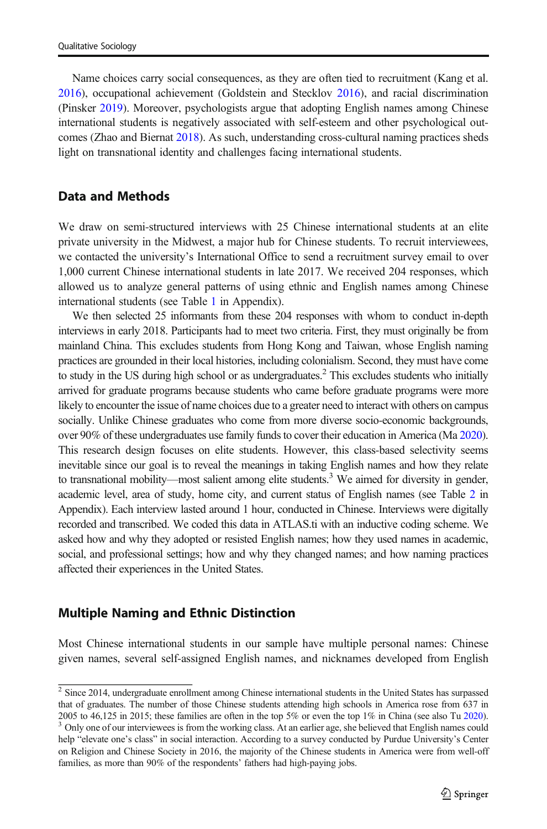Name choices carry social consequences, as they are often tied to recruitment (Kang et al. [2016](#page-20-0)), occupational achievement (Goldstein and Stecklov [2016\)](#page-20-0), and racial discrimination (Pinsker [2019\)](#page-20-0). Moreover, psychologists argue that adopting English names among Chinese international students is negatively associated with self-esteem and other psychological outcomes (Zhao and Biernat [2018](#page-20-0)). As such, understanding cross-cultural naming practices sheds light on transnational identity and challenges facing international students.

## Data and Methods

We draw on semi-structured interviews with 25 Chinese international students at an elite private university in the Midwest, a major hub for Chinese students. To recruit interviewees, we contacted the university's International Office to send a recruitment survey email to over 1,000 current Chinese international students in late 2017. We received 204 responses, which allowed us to analyze general patterns of using ethnic and English names among Chinese international students (see Table [1](#page-18-0) in Appendix).

We then selected 25 informants from these 204 responses with whom to conduct in-depth interviews in early 2018. Participants had to meet two criteria. First, they must originally be from mainland China. This excludes students from Hong Kong and Taiwan, whose English naming practices are grounded in their local histories, including colonialism. Second, they must have come to study in the US during high school or as undergraduates.<sup>2</sup> This excludes students who initially arrived for graduate programs because students who came before graduate programs were more likely to encounter the issue of name choices due to a greater need to interact with others on campus socially. Unlike Chinese graduates who come from more diverse socio-economic backgrounds, over 90% of these undergraduates use family funds to cover their education in America (Ma [2020](#page-20-0)). This research design focuses on elite students. However, this class-based selectivity seems inevitable since our goal is to reveal the meanings in taking English names and how they relate to transnational mobility—most salient among elite students.<sup>3</sup> We aimed for diversity in gender, academic level, area of study, home city, and current status of English names (see Table [2](#page-19-0) in Appendix). Each interview lasted around 1 hour, conducted in Chinese. Interviews were digitally recorded and transcribed. We coded this data in ATLAS.ti with an inductive coding scheme. We asked how and why they adopted or resisted English names; how they used names in academic, social, and professional settings; how and why they changed names; and how naming practices affected their experiences in the United States.

## Multiple Naming and Ethnic Distinction

Most Chinese international students in our sample have multiple personal names: Chinese given names, several self-assigned English names, and nicknames developed from English

<sup>&</sup>lt;sup>2</sup> Since 2014, undergraduate enrollment among Chinese international students in the United States has surpassed that of graduates. The number of those Chinese students attending high schools in America rose from 637 in 2005 to 46,125 in 2015; these families are often in the top 5% or even the top 1% in China (see also Tu [2020](#page-20-0)).<br><sup>3</sup> Only one of our interviewees is from the working class. At an earlier age, she believed that English names help "elevate one's class" in social interaction. According to a survey conducted by Purdue University's Center on Religion and Chinese Society in 2016, the majority of the Chinese students in America were from well-off families, as more than 90% of the respondents' fathers had high-paying jobs.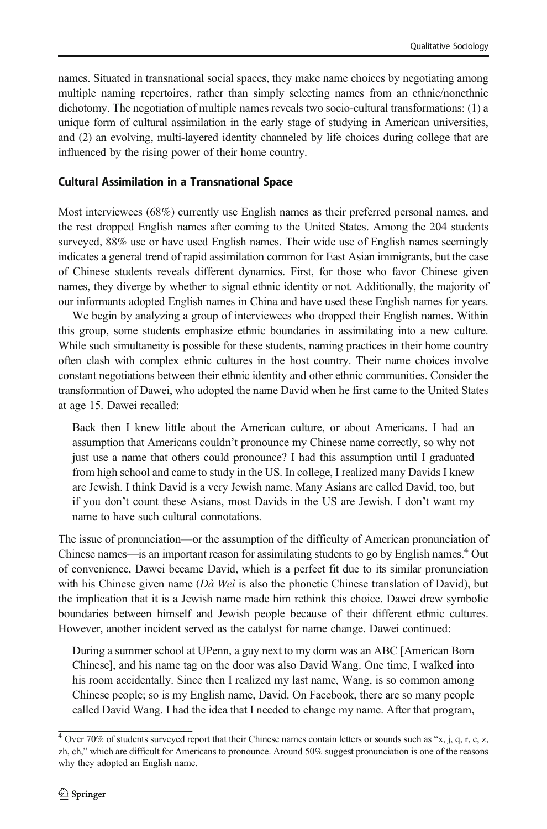names. Situated in transnational social spaces, they make name choices by negotiating among multiple naming repertoires, rather than simply selecting names from an ethnic/nonethnic dichotomy. The negotiation of multiple names reveals two socio-cultural transformations: (1) a unique form of cultural assimilation in the early stage of studying in American universities, and (2) an evolving, multi-layered identity channeled by life choices during college that are influenced by the rising power of their home country.

#### Cultural Assimilation in a Transnational Space

Most interviewees (68%) currently use English names as their preferred personal names, and the rest dropped English names after coming to the United States. Among the 204 students surveyed, 88% use or have used English names. Their wide use of English names seemingly indicates a general trend of rapid assimilation common for East Asian immigrants, but the case of Chinese students reveals different dynamics. First, for those who favor Chinese given names, they diverge by whether to signal ethnic identity or not. Additionally, the majority of our informants adopted English names in China and have used these English names for years.

We begin by analyzing a group of interviewees who dropped their English names. Within this group, some students emphasize ethnic boundaries in assimilating into a new culture. While such simultaneity is possible for these students, naming practices in their home country often clash with complex ethnic cultures in the host country. Their name choices involve constant negotiations between their ethnic identity and other ethnic communities. Consider the transformation of Dawei, who adopted the name David when he first came to the United States at age 15. Dawei recalled:

Back then I knew little about the American culture, or about Americans. I had an assumption that Americans couldn't pronounce my Chinese name correctly, so why not just use a name that others could pronounce? I had this assumption until I graduated from high school and came to study in the US. In college, I realized many Davids I knew are Jewish. I think David is a very Jewish name. Many Asians are called David, too, but if you don't count these Asians, most Davids in the US are Jewish. I don't want my name to have such cultural connotations.

The issue of pronunciation—or the assumption of the difficulty of American pronunciation of Chinese names—is an important reason for assimilating students to go by English names.<sup>4</sup> Out of convenience, Dawei became David, which is a perfect fit due to its similar pronunciation with his Chinese given name  $(D\hat{a}$  Wei is also the phonetic Chinese translation of David), but the implication that it is a Jewish name made him rethink this choice. Dawei drew symbolic boundaries between himself and Jewish people because of their different ethnic cultures. However, another incident served as the catalyst for name change. Dawei continued:

During a summer school at UPenn, a guy next to my dorm was an ABC [American Born Chinese], and his name tag on the door was also David Wang. One time, I walked into his room accidentally. Since then I realized my last name, Wang, is so common among Chinese people; so is my English name, David. On Facebook, there are so many people called David Wang. I had the idea that I needed to change my name. After that program,

<sup>&</sup>lt;sup>4</sup> Over 70% of students surveyed report that their Chinese names contain letters or sounds such as "x, j, q, r, c, z, zh, ch," which are difficult for Americans to pronounce. Around 50% suggest pronunciation is one of the reasons why they adopted an English name.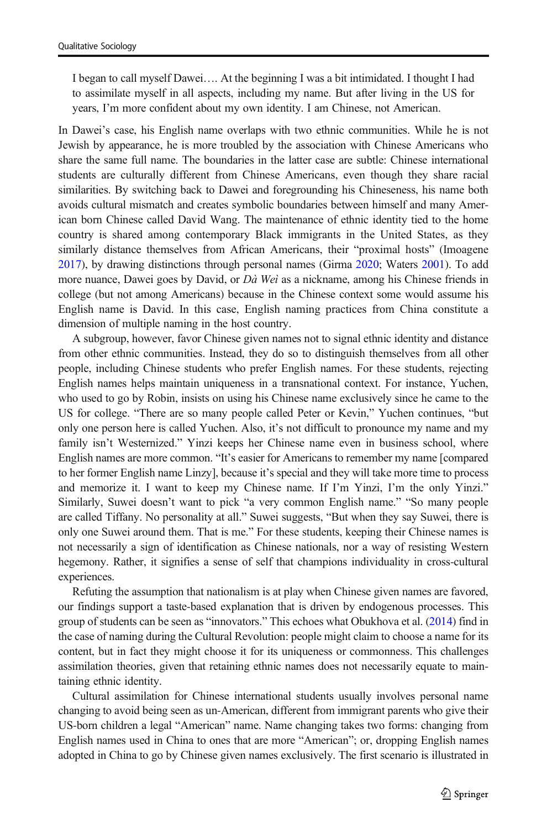I began to call myself Dawei…. At the beginning I was a bit intimidated. I thought I had to assimilate myself in all aspects, including my name. But after living in the US for years, I'm more confident about my own identity. I am Chinese, not American.

In Dawei's case, his English name overlaps with two ethnic communities. While he is not Jewish by appearance, he is more troubled by the association with Chinese Americans who share the same full name. The boundaries in the latter case are subtle: Chinese international students are culturally different from Chinese Americans, even though they share racial similarities. By switching back to Dawei and foregrounding his Chineseness, his name both avoids cultural mismatch and creates symbolic boundaries between himself and many American born Chinese called David Wang. The maintenance of ethnic identity tied to the home country is shared among contemporary Black immigrants in the United States, as they similarly distance themselves from African Americans, their "proximal hosts" (Imoagene [2017](#page-20-0)), by drawing distinctions through personal names (Girma [2020](#page-19-0); Waters [2001\)](#page-20-0). To add more nuance, Dawei goes by David, or *Dà Weì* as a nickname, among his Chinese friends in college (but not among Americans) because in the Chinese context some would assume his English name is David. In this case, English naming practices from China constitute a dimension of multiple naming in the host country.

A subgroup, however, favor Chinese given names not to signal ethnic identity and distance from other ethnic communities. Instead, they do so to distinguish themselves from all other people, including Chinese students who prefer English names. For these students, rejecting English names helps maintain uniqueness in a transnational context. For instance, Yuchen, who used to go by Robin, insists on using his Chinese name exclusively since he came to the US for college. "There are so many people called Peter or Kevin," Yuchen continues, "but only one person here is called Yuchen. Also, it's not difficult to pronounce my name and my family isn't Westernized." Yinzi keeps her Chinese name even in business school, where English names are more common. "It's easier for Americans to remember my name [compared to her former English name Linzy], because it's special and they will take more time to process and memorize it. I want to keep my Chinese name. If I'm Yinzi, I'm the only Yinzi." Similarly, Suwei doesn't want to pick "a very common English name." "So many people are called Tiffany. No personality at all." Suwei suggests, "But when they say Suwei, there is only one Suwei around them. That is me." For these students, keeping their Chinese names is not necessarily a sign of identification as Chinese nationals, nor a way of resisting Western hegemony. Rather, it signifies a sense of self that champions individuality in cross-cultural experiences.

Refuting the assumption that nationalism is at play when Chinese given names are favored, our findings support a taste-based explanation that is driven by endogenous processes. This group of students can be seen as "innovators." This echoes what Obukhova et al. [\(2014\)](#page-20-0) find in the case of naming during the Cultural Revolution: people might claim to choose a name for its content, but in fact they might choose it for its uniqueness or commonness. This challenges assimilation theories, given that retaining ethnic names does not necessarily equate to maintaining ethnic identity.

Cultural assimilation for Chinese international students usually involves personal name changing to avoid being seen as un-American, different from immigrant parents who give their US-born children a legal "American" name. Name changing takes two forms: changing from English names used in China to ones that are more "American"; or, dropping English names adopted in China to go by Chinese given names exclusively. The first scenario is illustrated in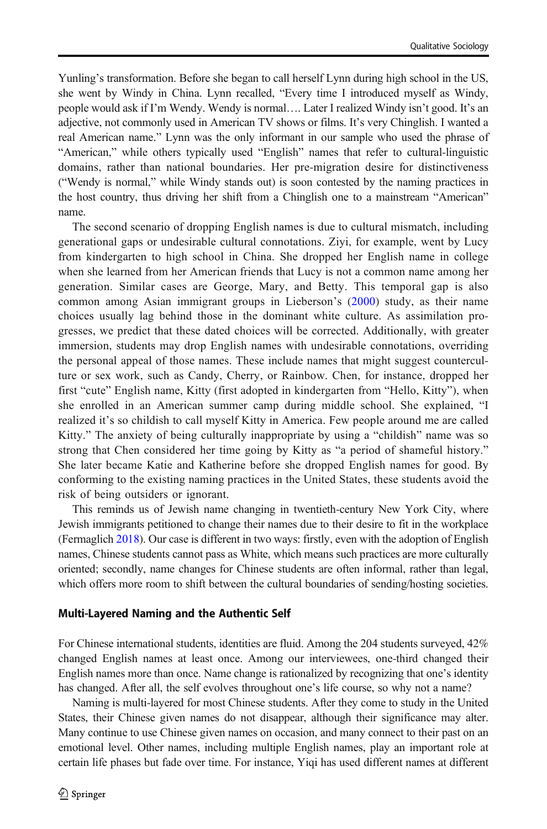Yunling's transformation. Before she began to call herself Lynn during high school in the US, she went by Windy in China. Lynn recalled, "Every time I introduced myself as Windy, people would ask if I'm Wendy. Wendy is normal…. Later I realized Windy isn't good. It's an adjective, not commonly used in American TV shows or films. It's very Chinglish. I wanted a real American name." Lynn was the only informant in our sample who used the phrase of "American," while others typically used "English" names that refer to cultural-linguistic domains, rather than national boundaries. Her pre-migration desire for distinctiveness ("Wendy is normal," while Windy stands out) is soon contested by the naming practices in the host country, thus driving her shift from a Chinglish one to a mainstream "American" name.

The second scenario of dropping English names is due to cultural mismatch, including generational gaps or undesirable cultural connotations. Ziyi, for example, went by Lucy from kindergarten to high school in China. She dropped her English name in college when she learned from her American friends that Lucy is not a common name among her generation. Similar cases are George, Mary, and Betty. This temporal gap is also common among Asian immigrant groups in Lieberson's ([2000\)](#page-20-0) study, as their name choices usually lag behind those in the dominant white culture. As assimilation progresses, we predict that these dated choices will be corrected. Additionally, with greater immersion, students may drop English names with undesirable connotations, overriding the personal appeal of those names. These include names that might suggest counterculture or sex work, such as Candy, Cherry, or Rainbow. Chen, for instance, dropped her first "cute" English name, Kitty (first adopted in kindergarten from "Hello, Kitty"), when she enrolled in an American summer camp during middle school. She explained, "I realized it's so childish to call myself Kitty in America. Few people around me are called Kitty." The anxiety of being culturally inappropriate by using a "childish" name was so strong that Chen considered her time going by Kitty as "a period of shameful history." She later became Katie and Katherine before she dropped English names for good. By conforming to the existing naming practices in the United States, these students avoid the risk of being outsiders or ignorant.

This reminds us of Jewish name changing in twentieth-century New York City, where Jewish immigrants petitioned to change their names due to their desire to fit in the workplace (Fermaglich [2018\)](#page-19-0). Our case is different in two ways: firstly, even with the adoption of English names, Chinese students cannot pass as White, which means such practices are more culturally oriented; secondly, name changes for Chinese students are often informal, rather than legal, which offers more room to shift between the cultural boundaries of sending/hosting societies.

#### Multi-Layered Naming and the Authentic Self

For Chinese international students, identities are fluid. Among the 204 students surveyed, 42% changed English names at least once. Among our interviewees, one-third changed their English names more than once. Name change is rationalized by recognizing that one's identity has changed. After all, the self evolves throughout one's life course, so why not a name?

Naming is multi-layered for most Chinese students. After they come to study in the United States, their Chinese given names do not disappear, although their significance may alter. Many continue to use Chinese given names on occasion, and many connect to their past on an emotional level. Other names, including multiple English names, play an important role at certain life phases but fade over time. For instance, Yiqi has used different names at different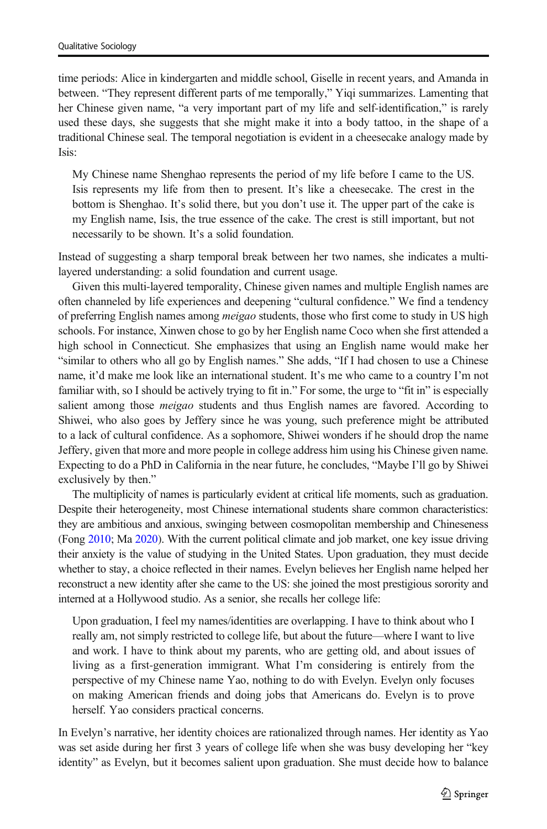time periods: Alice in kindergarten and middle school, Giselle in recent years, and Amanda in between. "They represent different parts of me temporally," Yiqi summarizes. Lamenting that her Chinese given name, "a very important part of my life and self-identification," is rarely used these days, she suggests that she might make it into a body tattoo, in the shape of a traditional Chinese seal. The temporal negotiation is evident in a cheesecake analogy made by Isis:

My Chinese name Shenghao represents the period of my life before I came to the US. Isis represents my life from then to present. It's like a cheesecake. The crest in the bottom is Shenghao. It's solid there, but you don't use it. The upper part of the cake is my English name, Isis, the true essence of the cake. The crest is still important, but not necessarily to be shown. It's a solid foundation.

Instead of suggesting a sharp temporal break between her two names, she indicates a multilayered understanding: a solid foundation and current usage.

Given this multi-layered temporality, Chinese given names and multiple English names are often channeled by life experiences and deepening "cultural confidence." We find a tendency of preferring English names among *meigao* students, those who first come to study in US high schools. For instance, Xinwen chose to go by her English name Coco when she first attended a high school in Connecticut. She emphasizes that using an English name would make her "similar to others who all go by English names." She adds, "If I had chosen to use a Chinese name, it'd make me look like an international student. It's me who came to a country I'm not familiar with, so I should be actively trying to fit in." For some, the urge to "fit in" is especially salient among those *meigao* students and thus English names are favored. According to Shiwei, who also goes by Jeffery since he was young, such preference might be attributed to a lack of cultural confidence. As a sophomore, Shiwei wonders if he should drop the name Jeffery, given that more and more people in college address him using his Chinese given name. Expecting to do a PhD in California in the near future, he concludes, "Maybe I'll go by Shiwei exclusively by then."

The multiplicity of names is particularly evident at critical life moments, such as graduation. Despite their heterogeneity, most Chinese international students share common characteristics: they are ambitious and anxious, swinging between cosmopolitan membership and Chineseness (Fong [2010](#page-19-0); Ma [2020\)](#page-20-0). With the current political climate and job market, one key issue driving their anxiety is the value of studying in the United States. Upon graduation, they must decide whether to stay, a choice reflected in their names. Evelyn believes her English name helped her reconstruct a new identity after she came to the US: she joined the most prestigious sorority and interned at a Hollywood studio. As a senior, she recalls her college life:

Upon graduation, I feel my names/identities are overlapping. I have to think about who I really am, not simply restricted to college life, but about the future—where I want to live and work. I have to think about my parents, who are getting old, and about issues of living as a first-generation immigrant. What I'm considering is entirely from the perspective of my Chinese name Yao, nothing to do with Evelyn. Evelyn only focuses on making American friends and doing jobs that Americans do. Evelyn is to prove herself. Yao considers practical concerns.

In Evelyn's narrative, her identity choices are rationalized through names. Her identity as Yao was set aside during her first 3 years of college life when she was busy developing her "key identity" as Evelyn, but it becomes salient upon graduation. She must decide how to balance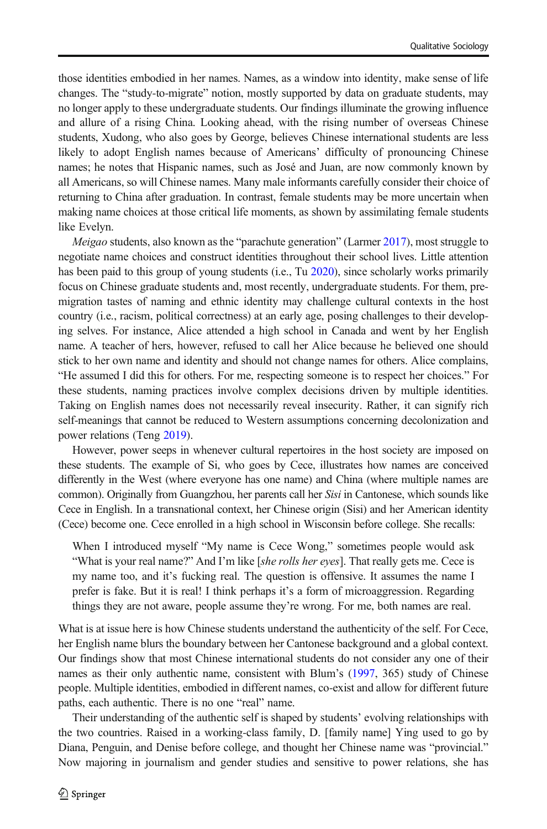those identities embodied in her names. Names, as a window into identity, make sense of life changes. The "study-to-migrate" notion, mostly supported by data on graduate students, may no longer apply to these undergraduate students. Our findings illuminate the growing influence and allure of a rising China. Looking ahead, with the rising number of overseas Chinese students, Xudong, who also goes by George, believes Chinese international students are less likely to adopt English names because of Americans' difficulty of pronouncing Chinese names; he notes that Hispanic names, such as José and Juan, are now commonly known by all Americans, so will Chinese names. Many male informants carefully consider their choice of returning to China after graduation. In contrast, female students may be more uncertain when making name choices at those critical life moments, as shown by assimilating female students like Evelyn.

Meigao students, also known as the "parachute generation" (Larmer [2017\)](#page-20-0), most struggle to negotiate name choices and construct identities throughout their school lives. Little attention has been paid to this group of young students (i.e., Tu [2020](#page-20-0)), since scholarly works primarily focus on Chinese graduate students and, most recently, undergraduate students. For them, premigration tastes of naming and ethnic identity may challenge cultural contexts in the host country (i.e., racism, political correctness) at an early age, posing challenges to their developing selves. For instance, Alice attended a high school in Canada and went by her English name. A teacher of hers, however, refused to call her Alice because he believed one should stick to her own name and identity and should not change names for others. Alice complains, "He assumed I did this for others. For me, respecting someone is to respect her choices." For these students, naming practices involve complex decisions driven by multiple identities. Taking on English names does not necessarily reveal insecurity. Rather, it can signify rich self-meanings that cannot be reduced to Western assumptions concerning decolonization and power relations (Teng [2019\)](#page-20-0).

However, power seeps in whenever cultural repertoires in the host society are imposed on these students. The example of Si, who goes by Cece, illustrates how names are conceived differently in the West (where everyone has one name) and China (where multiple names are common). Originally from Guangzhou, her parents call her Sisi in Cantonese, which sounds like Cece in English. In a transnational context, her Chinese origin (Sisi) and her American identity (Cece) become one. Cece enrolled in a high school in Wisconsin before college. She recalls:

When I introduced myself "My name is Cece Wong," sometimes people would ask "What is your real name?" And I'm like [she rolls her eyes]. That really gets me. Cece is my name too, and it's fucking real. The question is offensive. It assumes the name I prefer is fake. But it is real! I think perhaps it's a form of microaggression. Regarding things they are not aware, people assume they're wrong. For me, both names are real.

What is at issue here is how Chinese students understand the authenticity of the self. For Cece, her English name blurs the boundary between her Cantonese background and a global context. Our findings show that most Chinese international students do not consider any one of their names as their only authentic name, consistent with Blum's ([1997](#page-19-0), 365) study of Chinese people. Multiple identities, embodied in different names, co-exist and allow for different future paths, each authentic. There is no one "real" name.

Their understanding of the authentic self is shaped by students' evolving relationships with the two countries. Raised in a working-class family, D. [family name] Ying used to go by Diana, Penguin, and Denise before college, and thought her Chinese name was "provincial." Now majoring in journalism and gender studies and sensitive to power relations, she has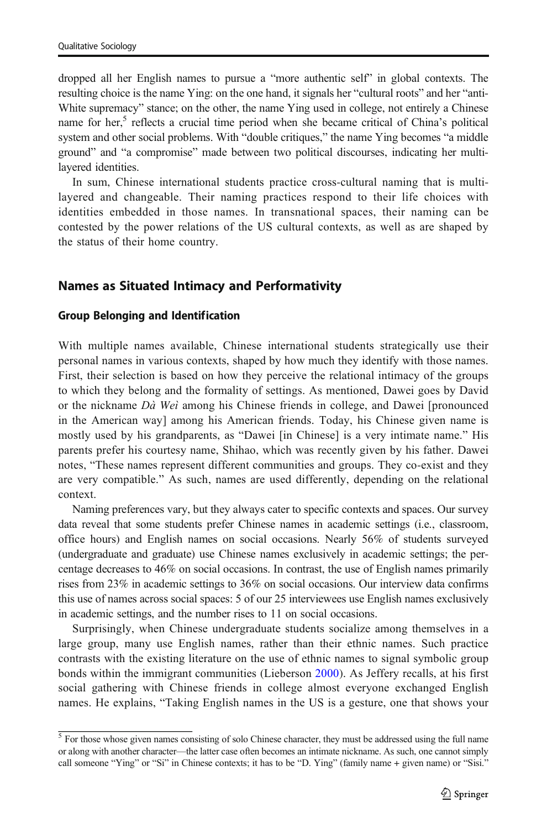dropped all her English names to pursue a "more authentic self" in global contexts. The resulting choice is the name Ying: on the one hand, it signals her "cultural roots" and her "anti-White supremacy" stance; on the other, the name Ying used in college, not entirely a Chinese name for her, $5$  reflects a crucial time period when she became critical of China's political system and other social problems. With "double critiques," the name Ying becomes "a middle ground" and "a compromise" made between two political discourses, indicating her multilayered identities.

In sum, Chinese international students practice cross-cultural naming that is multilayered and changeable. Their naming practices respond to their life choices with identities embedded in those names. In transnational spaces, their naming can be contested by the power relations of the US cultural contexts, as well as are shaped by the status of their home country.

## Names as Situated Intimacy and Performativity

#### Group Belonging and Identification

With multiple names available, Chinese international students strategically use their personal names in various contexts, shaped by how much they identify with those names. First, their selection is based on how they perceive the relational intimacy of the groups to which they belong and the formality of settings. As mentioned, Dawei goes by David or the nickname Dà Wei among his Chinese friends in college, and Dawei [pronounced] in the American way] among his American friends. Today, his Chinese given name is mostly used by his grandparents, as "Dawei [in Chinese] is a very intimate name." His parents prefer his courtesy name, Shihao, which was recently given by his father. Dawei notes, "These names represent different communities and groups. They co-exist and they are very compatible." As such, names are used differently, depending on the relational context.

Naming preferences vary, but they always cater to specific contexts and spaces. Our survey data reveal that some students prefer Chinese names in academic settings (i.e., classroom, office hours) and English names on social occasions. Nearly 56% of students surveyed (undergraduate and graduate) use Chinese names exclusively in academic settings; the percentage decreases to 46% on social occasions. In contrast, the use of English names primarily rises from 23% in academic settings to 36% on social occasions. Our interview data confirms this use of names across social spaces: 5 of our 25 interviewees use English names exclusively in academic settings, and the number rises to 11 on social occasions.

Surprisingly, when Chinese undergraduate students socialize among themselves in a large group, many use English names, rather than their ethnic names. Such practice contrasts with the existing literature on the use of ethnic names to signal symbolic group bonds within the immigrant communities (Lieberson [2000\)](#page-20-0). As Jeffery recalls, at his first social gathering with Chinese friends in college almost everyone exchanged English names. He explains, "Taking English names in the US is a gesture, one that shows your

<sup>&</sup>lt;sup>5</sup> For those whose given names consisting of solo Chinese character, they must be addressed using the full name or along with another character—the latter case often becomes an intimate nickname. As such, one cannot simply call someone "Ying" or "Si" in Chinese contexts; it has to be "D. Ying" (family name + given name) or "Sisi."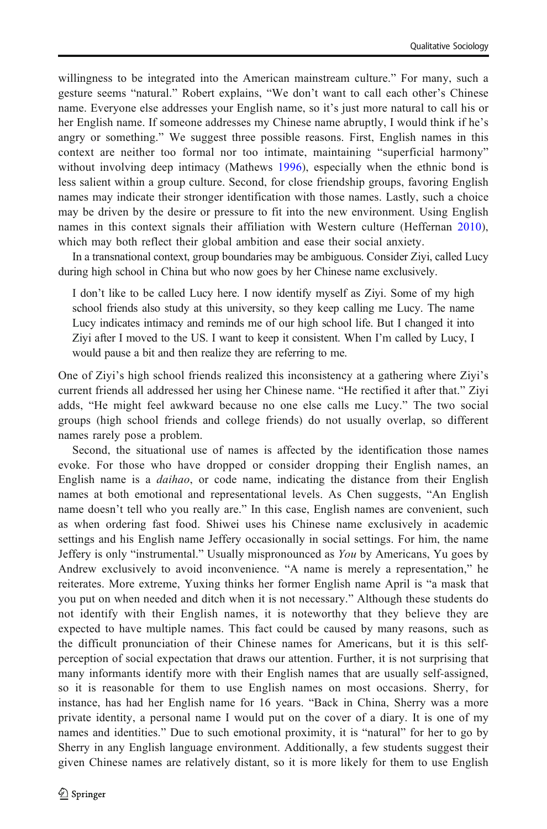willingness to be integrated into the American mainstream culture." For many, such a gesture seems "natural." Robert explains, "We don't want to call each other's Chinese name. Everyone else addresses your English name, so it's just more natural to call his or her English name. If someone addresses my Chinese name abruptly, I would think if he's angry or something." We suggest three possible reasons. First, English names in this context are neither too formal nor too intimate, maintaining "superficial harmony" without involving deep intimacy (Mathews [1996\)](#page-20-0), especially when the ethnic bond is less salient within a group culture. Second, for close friendship groups, favoring English names may indicate their stronger identification with those names. Lastly, such a choice may be driven by the desire or pressure to fit into the new environment. Using English names in this context signals their affiliation with Western culture (Heffernan [2010](#page-20-0)), which may both reflect their global ambition and ease their social anxiety.

In a transnational context, group boundaries may be ambiguous. Consider Ziyi, called Lucy during high school in China but who now goes by her Chinese name exclusively.

I don't like to be called Lucy here. I now identify myself as Ziyi. Some of my high school friends also study at this university, so they keep calling me Lucy. The name Lucy indicates intimacy and reminds me of our high school life. But I changed it into Ziyi after I moved to the US. I want to keep it consistent. When I'm called by Lucy, I would pause a bit and then realize they are referring to me.

One of Ziyi's high school friends realized this inconsistency at a gathering where Ziyi's current friends all addressed her using her Chinese name. "He rectified it after that." Ziyi adds, "He might feel awkward because no one else calls me Lucy." The two social groups (high school friends and college friends) do not usually overlap, so different names rarely pose a problem.

Second, the situational use of names is affected by the identification those names evoke. For those who have dropped or consider dropping their English names, an English name is a daihao, or code name, indicating the distance from their English names at both emotional and representational levels. As Chen suggests, "An English name doesn't tell who you really are." In this case, English names are convenient, such as when ordering fast food. Shiwei uses his Chinese name exclusively in academic settings and his English name Jeffery occasionally in social settings. For him, the name Jeffery is only "instrumental." Usually mispronounced as You by Americans, Yu goes by Andrew exclusively to avoid inconvenience. "A name is merely a representation," he reiterates. More extreme, Yuxing thinks her former English name April is "a mask that you put on when needed and ditch when it is not necessary." Although these students do not identify with their English names, it is noteworthy that they believe they are expected to have multiple names. This fact could be caused by many reasons, such as the difficult pronunciation of their Chinese names for Americans, but it is this selfperception of social expectation that draws our attention. Further, it is not surprising that many informants identify more with their English names that are usually self-assigned, so it is reasonable for them to use English names on most occasions. Sherry, for instance, has had her English name for 16 years. "Back in China, Sherry was a more private identity, a personal name I would put on the cover of a diary. It is one of my names and identities." Due to such emotional proximity, it is "natural" for her to go by Sherry in any English language environment. Additionally, a few students suggest their given Chinese names are relatively distant, so it is more likely for them to use English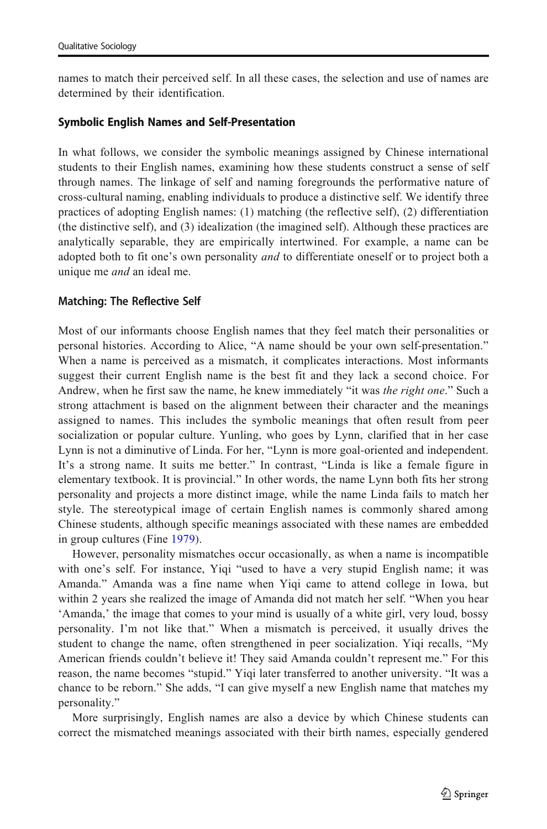names to match their perceived self. In all these cases, the selection and use of names are determined by their identification.

#### Symbolic English Names and Self-Presentation

In what follows, we consider the symbolic meanings assigned by Chinese international students to their English names, examining how these students construct a sense of self through names. The linkage of self and naming foregrounds the performative nature of cross-cultural naming, enabling individuals to produce a distinctive self. We identify three practices of adopting English names: (1) matching (the reflective self), (2) differentiation (the distinctive self), and (3) idealization (the imagined self). Although these practices are analytically separable, they are empirically intertwined. For example, a name can be adopted both to fit one's own personality *and* to differentiate oneself or to project both a unique me and an ideal me.

#### Matching: The Reflective Self

Most of our informants choose English names that they feel match their personalities or personal histories. According to Alice, "A name should be your own self-presentation." When a name is perceived as a mismatch, it complicates interactions. Most informants suggest their current English name is the best fit and they lack a second choice. For Andrew, when he first saw the name, he knew immediately "it was the right one." Such a strong attachment is based on the alignment between their character and the meanings assigned to names. This includes the symbolic meanings that often result from peer socialization or popular culture. Yunling, who goes by Lynn, clarified that in her case Lynn is not a diminutive of Linda. For her, "Lynn is more goal-oriented and independent. It's a strong name. It suits me better." In contrast, "Linda is like a female figure in elementary textbook. It is provincial." In other words, the name Lynn both fits her strong personality and projects a more distinct image, while the name Linda fails to match her style. The stereotypical image of certain English names is commonly shared among Chinese students, although specific meanings associated with these names are embedded in group cultures (Fine [1979\)](#page-19-0).

However, personality mismatches occur occasionally, as when a name is incompatible with one's self. For instance, Yiqi "used to have a very stupid English name; it was Amanda." Amanda was a fine name when Yiqi came to attend college in Iowa, but within 2 years she realized the image of Amanda did not match her self. "When you hear 'Amanda,' the image that comes to your mind is usually of a white girl, very loud, bossy personality. I'm not like that." When a mismatch is perceived, it usually drives the student to change the name, often strengthened in peer socialization. Yiqi recalls, "My American friends couldn't believe it! They said Amanda couldn't represent me." For this reason, the name becomes "stupid." Yiqi later transferred to another university. "It was a chance to be reborn." She adds, "I can give myself a new English name that matches my personality."

More surprisingly, English names are also a device by which Chinese students can correct the mismatched meanings associated with their birth names, especially gendered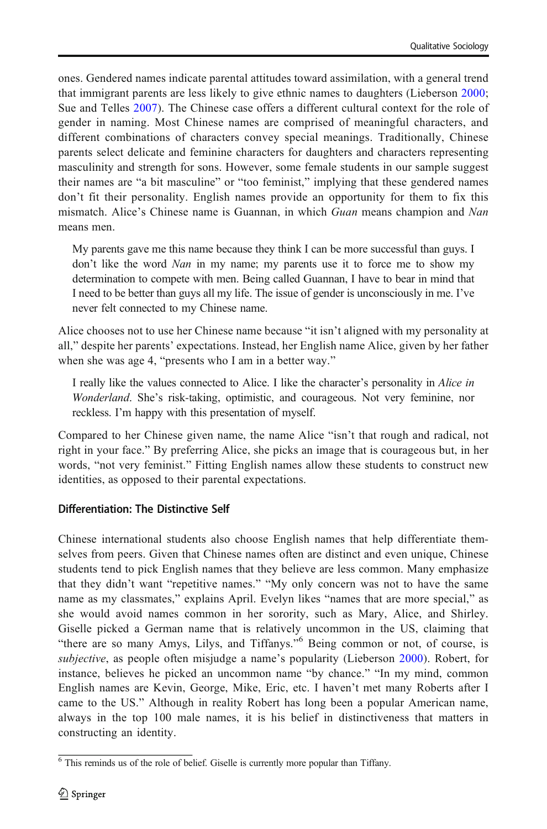ones. Gendered names indicate parental attitudes toward assimilation, with a general trend that immigrant parents are less likely to give ethnic names to daughters (Lieberson [2000](#page-20-0); Sue and Telles [2007\)](#page-20-0). The Chinese case offers a different cultural context for the role of gender in naming. Most Chinese names are comprised of meaningful characters, and different combinations of characters convey special meanings. Traditionally, Chinese parents select delicate and feminine characters for daughters and characters representing masculinity and strength for sons. However, some female students in our sample suggest their names are "a bit masculine" or "too feminist," implying that these gendered names don't fit their personality. English names provide an opportunity for them to fix this mismatch. Alice's Chinese name is Guannan, in which Guan means champion and Nan means men.

My parents gave me this name because they think I can be more successful than guys. I don't like the word Nan in my name; my parents use it to force me to show my determination to compete with men. Being called Guannan, I have to bear in mind that I need to be better than guys all my life. The issue of gender is unconsciously in me. I've never felt connected to my Chinese name.

Alice chooses not to use her Chinese name because "it isn't aligned with my personality at all," despite her parents' expectations. Instead, her English name Alice, given by her father when she was age 4, "presents who I am in a better way."

I really like the values connected to Alice. I like the character's personality in Alice in Wonderland. She's risk-taking, optimistic, and courageous. Not very feminine, nor reckless. I'm happy with this presentation of myself.

Compared to her Chinese given name, the name Alice "isn't that rough and radical, not right in your face." By preferring Alice, she picks an image that is courageous but, in her words, "not very feminist." Fitting English names allow these students to construct new identities, as opposed to their parental expectations.

## Differentiation: The Distinctive Self

Chinese international students also choose English names that help differentiate themselves from peers. Given that Chinese names often are distinct and even unique, Chinese students tend to pick English names that they believe are less common. Many emphasize that they didn't want "repetitive names." "My only concern was not to have the same name as my classmates," explains April. Evelyn likes "names that are more special," as she would avoid names common in her sorority, such as Mary, Alice, and Shirley. Giselle picked a German name that is relatively uncommon in the US, claiming that "there are so many Amys, Lilys, and Tiffanys."<sup>6</sup> Being common or not, of course, is subjective, as people often misjudge a name's popularity (Lieberson [2000](#page-20-0)). Robert, for instance, believes he picked an uncommon name "by chance." "In my mind, common English names are Kevin, George, Mike, Eric, etc. I haven't met many Roberts after I came to the US." Although in reality Robert has long been a popular American name, always in the top 100 male names, it is his belief in distinctiveness that matters in constructing an identity.

<sup>&</sup>lt;sup>6</sup> This reminds us of the role of belief. Giselle is currently more popular than Tiffany.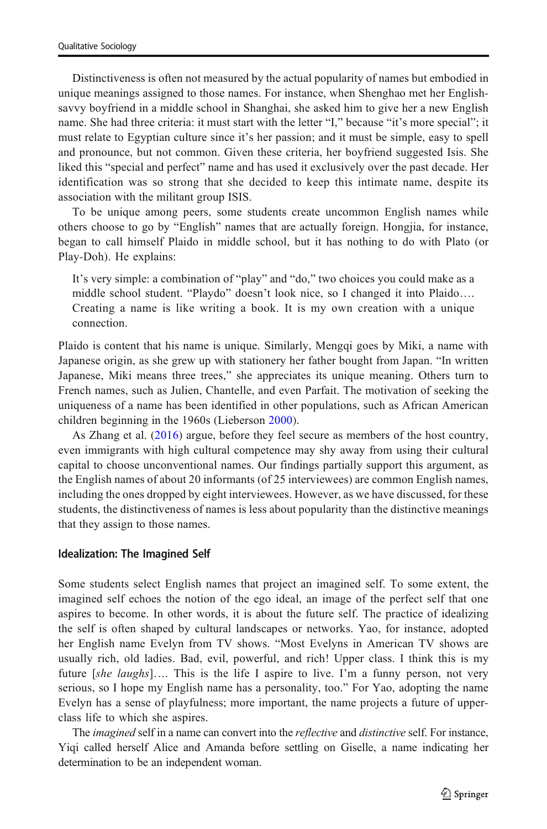Distinctiveness is often not measured by the actual popularity of names but embodied in unique meanings assigned to those names. For instance, when Shenghao met her Englishsavvy boyfriend in a middle school in Shanghai, she asked him to give her a new English name. She had three criteria: it must start with the letter "I," because "it's more special"; it must relate to Egyptian culture since it's her passion; and it must be simple, easy to spell and pronounce, but not common. Given these criteria, her boyfriend suggested Isis. She liked this "special and perfect" name and has used it exclusively over the past decade. Her identification was so strong that she decided to keep this intimate name, despite its association with the militant group ISIS.

To be unique among peers, some students create uncommon English names while others choose to go by "English" names that are actually foreign. Hongjia, for instance, began to call himself Plaido in middle school, but it has nothing to do with Plato (or Play-Doh). He explains:

It's very simple: a combination of "play" and "do," two choices you could make as a middle school student. "Playdo" doesn't look nice, so I changed it into Plaido…. Creating a name is like writing a book. It is my own creation with a unique connection.

Plaido is content that his name is unique. Similarly, Mengqi goes by Miki, a name with Japanese origin, as she grew up with stationery her father bought from Japan. "In written Japanese, Miki means three trees," she appreciates its unique meaning. Others turn to French names, such as Julien, Chantelle, and even Parfait. The motivation of seeking the uniqueness of a name has been identified in other populations, such as African American children beginning in the 1960s (Lieberson [2000](#page-20-0)).

As Zhang et al. [\(2016\)](#page-20-0) argue, before they feel secure as members of the host country, even immigrants with high cultural competence may shy away from using their cultural capital to choose unconventional names. Our findings partially support this argument, as the English names of about 20 informants (of 25 interviewees) are common English names, including the ones dropped by eight interviewees. However, as we have discussed, for these students, the distinctiveness of names is less about popularity than the distinctive meanings that they assign to those names.

## Idealization: The Imagined Self

Some students select English names that project an imagined self. To some extent, the imagined self echoes the notion of the ego ideal, an image of the perfect self that one aspires to become. In other words, it is about the future self. The practice of idealizing the self is often shaped by cultural landscapes or networks. Yao, for instance, adopted her English name Evelyn from TV shows. "Most Evelyns in American TV shows are usually rich, old ladies. Bad, evil, powerful, and rich! Upper class. I think this is my future [she laughs].... This is the life I aspire to live. I'm a funny person, not very serious, so I hope my English name has a personality, too." For Yao, adopting the name Evelyn has a sense of playfulness; more important, the name projects a future of upperclass life to which she aspires.

The *imagined* self in a name can convert into the *reflective* and *distinctive* self. For instance, Yiqi called herself Alice and Amanda before settling on Giselle, a name indicating her determination to be an independent woman.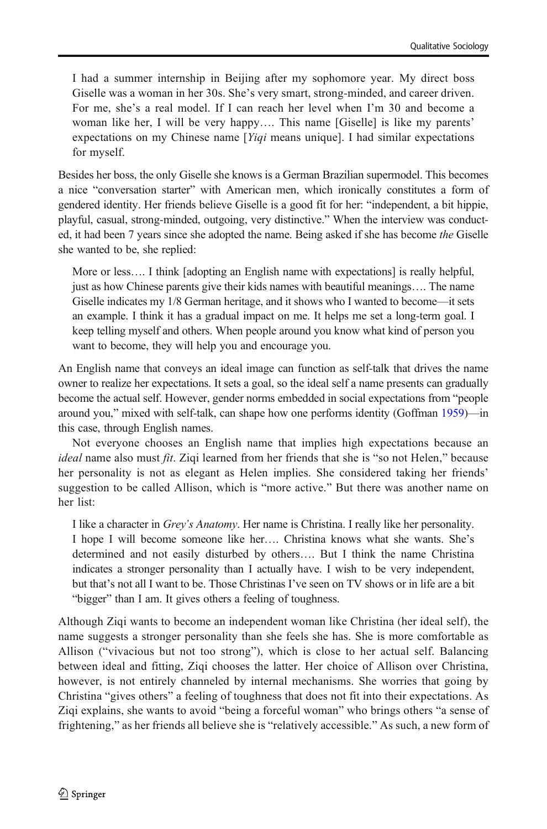I had a summer internship in Beijing after my sophomore year. My direct boss Giselle was a woman in her 30s. She's very smart, strong-minded, and career driven. For me, she's a real model. If I can reach her level when I'm 30 and become a woman like her, I will be very happy…. This name [Giselle] is like my parents' expectations on my Chinese name [Yiqi means unique]. I had similar expectations for myself.

Besides her boss, the only Giselle she knows is a German Brazilian supermodel. This becomes a nice "conversation starter" with American men, which ironically constitutes a form of gendered identity. Her friends believe Giselle is a good fit for her: "independent, a bit hippie, playful, casual, strong-minded, outgoing, very distinctive." When the interview was conducted, it had been 7 years since she adopted the name. Being asked if she has become the Giselle she wanted to be, she replied:

More or less…. I think [adopting an English name with expectations] is really helpful, just as how Chinese parents give their kids names with beautiful meanings…. The name Giselle indicates my 1/8 German heritage, and it shows who I wanted to become—it sets an example. I think it has a gradual impact on me. It helps me set a long-term goal. I keep telling myself and others. When people around you know what kind of person you want to become, they will help you and encourage you.

An English name that conveys an ideal image can function as self-talk that drives the name owner to realize her expectations. It sets a goal, so the ideal self a name presents can gradually become the actual self. However, gender norms embedded in social expectations from "people around you," mixed with self-talk, can shape how one performs identity (Goffman [1959](#page-19-0))—in this case, through English names.

Not everyone chooses an English name that implies high expectations because an ideal name also must fit. Ziqi learned from her friends that she is "so not Helen," because her personality is not as elegant as Helen implies. She considered taking her friends' suggestion to be called Allison, which is "more active." But there was another name on her list:

I like a character in Grey's Anatomy. Her name is Christina. I really like her personality. I hope I will become someone like her…. Christina knows what she wants. She's determined and not easily disturbed by others…. But I think the name Christina indicates a stronger personality than I actually have. I wish to be very independent, but that's not all I want to be. Those Christinas I've seen on TV shows or in life are a bit "bigger" than I am. It gives others a feeling of toughness.

Although Ziqi wants to become an independent woman like Christina (her ideal self), the name suggests a stronger personality than she feels she has. She is more comfortable as Allison ("vivacious but not too strong"), which is close to her actual self. Balancing between ideal and fitting, Ziqi chooses the latter. Her choice of Allison over Christina, however, is not entirely channeled by internal mechanisms. She worries that going by Christina "gives others" a feeling of toughness that does not fit into their expectations. As Ziqi explains, she wants to avoid "being a forceful woman" who brings others "a sense of frightening," as her friends all believe she is "relatively accessible." As such, a new form of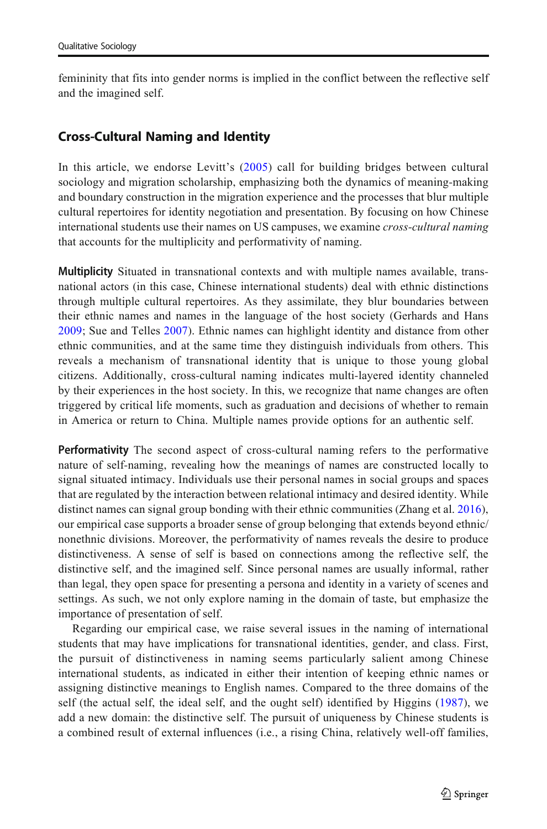femininity that fits into gender norms is implied in the conflict between the reflective self and the imagined self.

## Cross-Cultural Naming and Identity

In this article, we endorse Levitt's ([2005\)](#page-20-0) call for building bridges between cultural sociology and migration scholarship, emphasizing both the dynamics of meaning-making and boundary construction in the migration experience and the processes that blur multiple cultural repertoires for identity negotiation and presentation. By focusing on how Chinese international students use their names on US campuses, we examine *cross-cultural naming* that accounts for the multiplicity and performativity of naming.

Multiplicity Situated in transnational contexts and with multiple names available, transnational actors (in this case, Chinese international students) deal with ethnic distinctions through multiple cultural repertoires. As they assimilate, they blur boundaries between their ethnic names and names in the language of the host society (Gerhards and Hans [2009](#page-19-0); Sue and Telles [2007](#page-20-0)). Ethnic names can highlight identity and distance from other ethnic communities, and at the same time they distinguish individuals from others. This reveals a mechanism of transnational identity that is unique to those young global citizens. Additionally, cross-cultural naming indicates multi-layered identity channeled by their experiences in the host society. In this, we recognize that name changes are often triggered by critical life moments, such as graduation and decisions of whether to remain in America or return to China. Multiple names provide options for an authentic self.

Performativity The second aspect of cross-cultural naming refers to the performative nature of self-naming, revealing how the meanings of names are constructed locally to signal situated intimacy. Individuals use their personal names in social groups and spaces that are regulated by the interaction between relational intimacy and desired identity. While distinct names can signal group bonding with their ethnic communities (Zhang et al. [2016](#page-20-0)), our empirical case supports a broader sense of group belonging that extends beyond ethnic/ nonethnic divisions. Moreover, the performativity of names reveals the desire to produce distinctiveness. A sense of self is based on connections among the reflective self, the distinctive self, and the imagined self. Since personal names are usually informal, rather than legal, they open space for presenting a persona and identity in a variety of scenes and settings. As such, we not only explore naming in the domain of taste, but emphasize the importance of presentation of self.

Regarding our empirical case, we raise several issues in the naming of international students that may have implications for transnational identities, gender, and class. First, the pursuit of distinctiveness in naming seems particularly salient among Chinese international students, as indicated in either their intention of keeping ethnic names or assigning distinctive meanings to English names. Compared to the three domains of the self (the actual self, the ideal self, and the ought self) identified by Higgins [\(1987\)](#page-20-0), we add a new domain: the distinctive self. The pursuit of uniqueness by Chinese students is a combined result of external influences (i.e., a rising China, relatively well-off families,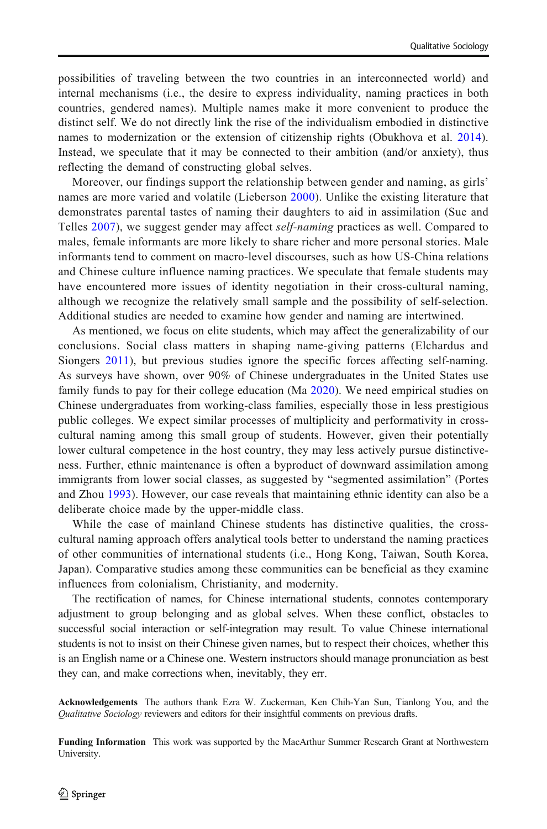possibilities of traveling between the two countries in an interconnected world) and internal mechanisms (i.e., the desire to express individuality, naming practices in both countries, gendered names). Multiple names make it more convenient to produce the distinct self. We do not directly link the rise of the individualism embodied in distinctive names to modernization or the extension of citizenship rights (Obukhova et al. [2014](#page-20-0)). Instead, we speculate that it may be connected to their ambition (and/or anxiety), thus reflecting the demand of constructing global selves.

Moreover, our findings support the relationship between gender and naming, as girls' names are more varied and volatile (Lieberson [2000](#page-20-0)). Unlike the existing literature that demonstrates parental tastes of naming their daughters to aid in assimilation (Sue and Telles [2007](#page-20-0)), we suggest gender may affect self-naming practices as well. Compared to males, female informants are more likely to share richer and more personal stories. Male informants tend to comment on macro-level discourses, such as how US-China relations and Chinese culture influence naming practices. We speculate that female students may have encountered more issues of identity negotiation in their cross-cultural naming, although we recognize the relatively small sample and the possibility of self-selection. Additional studies are needed to examine how gender and naming are intertwined.

As mentioned, we focus on elite students, which may affect the generalizability of our conclusions. Social class matters in shaping name-giving patterns (Elchardus and Siongers [2011](#page-19-0)), but previous studies ignore the specific forces affecting self-naming. As surveys have shown, over 90% of Chinese undergraduates in the United States use family funds to pay for their college education (Ma [2020](#page-20-0)). We need empirical studies on Chinese undergraduates from working-class families, especially those in less prestigious public colleges. We expect similar processes of multiplicity and performativity in crosscultural naming among this small group of students. However, given their potentially lower cultural competence in the host country, they may less actively pursue distinctiveness. Further, ethnic maintenance is often a byproduct of downward assimilation among immigrants from lower social classes, as suggested by "segmented assimilation" (Portes and Zhou [1993\)](#page-20-0). However, our case reveals that maintaining ethnic identity can also be a deliberate choice made by the upper-middle class.

While the case of mainland Chinese students has distinctive qualities, the crosscultural naming approach offers analytical tools better to understand the naming practices of other communities of international students (i.e., Hong Kong, Taiwan, South Korea, Japan). Comparative studies among these communities can be beneficial as they examine influences from colonialism, Christianity, and modernity.

The rectification of names, for Chinese international students, connotes contemporary adjustment to group belonging and as global selves. When these conflict, obstacles to successful social interaction or self-integration may result. To value Chinese international students is not to insist on their Chinese given names, but to respect their choices, whether this is an English name or a Chinese one. Western instructors should manage pronunciation as best they can, and make corrections when, inevitably, they err.

Acknowledgements The authors thank Ezra W. Zuckerman, Ken Chih-Yan Sun, Tianlong You, and the Qualitative Sociology reviewers and editors for their insightful comments on previous drafts.

Funding Information This work was supported by the MacArthur Summer Research Grant at Northwestern University.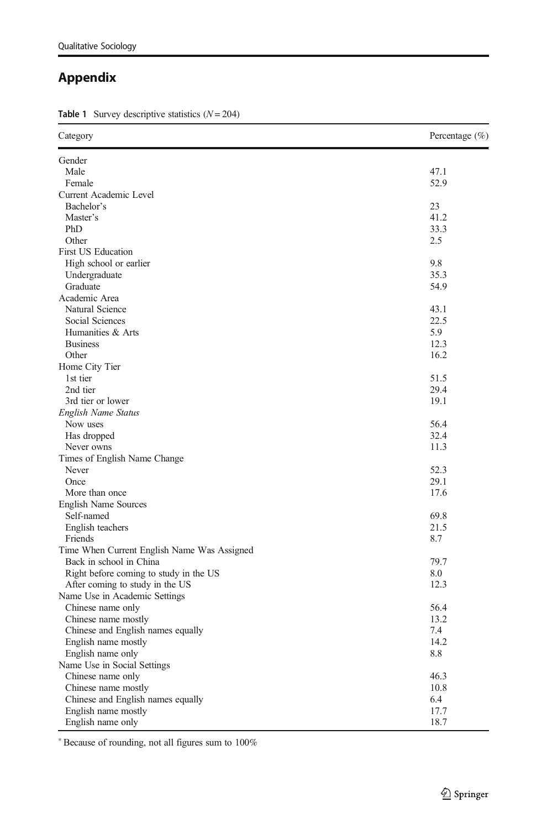# <span id="page-18-0"></span>Appendix

Table 1 Survey descriptive statistics  $(N = 204)$ 

| Category                                    | Percentage $(\% )$ |
|---------------------------------------------|--------------------|
| Gender                                      |                    |
| Male                                        | 47.1               |
| Female                                      | 52.9               |
| Current Academic Level                      |                    |
| Bachelor's                                  | 23                 |
| Master's                                    | 41.2               |
| PhD                                         | 33.3               |
| Other                                       | 2.5                |
| <b>First US Education</b>                   |                    |
| High school or earlier                      | 9.8                |
| Undergraduate                               | 35.3               |
| Graduate                                    | 54.9               |
| Academic Area                               |                    |
| Natural Science                             | 43.1               |
| Social Sciences                             | 22.5               |
| Humanities & Arts                           | 5.9                |
| <b>Business</b>                             | 12.3               |
| Other                                       | 16.2               |
| Home City Tier                              |                    |
| 1st tier                                    | 51.5               |
| 2nd tier                                    | 29.4               |
| 3rd tier or lower                           | 19.1               |
| <b>English Name Status</b>                  |                    |
| Now uses                                    | 56.4               |
| Has dropped                                 | 32.4               |
| Never owns                                  | 11.3               |
| Times of English Name Change                |                    |
| Never                                       | 52.3               |
| Once                                        | 29.1               |
| More than once                              | 17.6               |
| <b>English Name Sources</b>                 |                    |
| Self-named                                  | 69.8               |
| English teachers                            | 21.5               |
| Friends                                     | 8.7                |
| Time When Current English Name Was Assigned |                    |
| Back in school in China                     | 79.7               |
| Right before coming to study in the US      | 8.0                |
| After coming to study in the US             | 12.3               |
| Name Use in Academic Settings               |                    |
| Chinese name only                           | 56.4               |
| Chinese name mostly                         | 13.2               |
| Chinese and English names equally           | 7.4                |
| English name mostly                         | 14.2               |
| English name only                           | 8.8                |
| Name Use in Social Settings                 |                    |
| Chinese name only                           | 46.3               |
| Chinese name mostly                         | 10.8               |
| Chinese and English names equally           | 6.4                |
| English name mostly                         | 17.7               |
| English name only                           | 18.7               |

\* Because of rounding, not all figures sum to 100%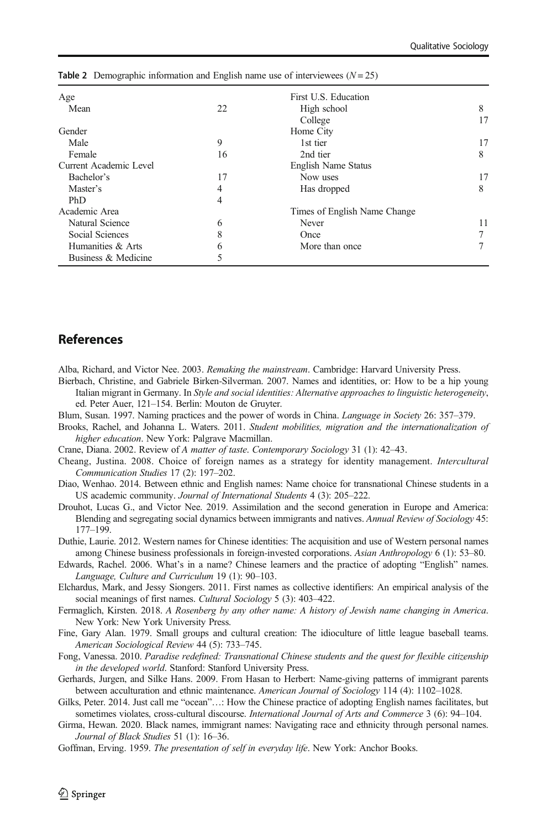| Age                    |    | First U.S. Education         |    |
|------------------------|----|------------------------------|----|
| Mean                   | 22 | High school                  | 8  |
|                        |    | College                      | 17 |
| Gender                 |    | Home City                    |    |
| Male                   | 9  | 1st tier                     | 17 |
| Female                 | 16 | 2nd tier                     | 8  |
| Current Academic Level |    | <b>English Name Status</b>   |    |
| Bachelor's             | 17 | Now uses                     | 17 |
| Master's               | 4  | Has dropped                  | 8  |
| PhD                    | 4  |                              |    |
| Academic Area          |    | Times of English Name Change |    |
| Natural Science        | 6  | Never                        | 11 |
| Social Sciences        | 8  | Once                         |    |
| Humanities & Arts      | 6  | More than once               |    |
| Business & Medicine    | 5  |                              |    |

<span id="page-19-0"></span>

|  | <b>Table 2</b> Demographic information and English name use of interviewees $(N = 25)$ |  |  |  |  |  |  |  |  |  |  |  |
|--|----------------------------------------------------------------------------------------|--|--|--|--|--|--|--|--|--|--|--|
|--|----------------------------------------------------------------------------------------|--|--|--|--|--|--|--|--|--|--|--|

## References

Alba, Richard, and Victor Nee. 2003. Remaking the mainstream. Cambridge: Harvard University Press.

Bierbach, Christine, and Gabriele Birken-Silverman. 2007. Names and identities, or: How to be a hip young Italian migrant in Germany. In Style and social identities: Alternative approaches to linguistic heterogeneity,

ed. Peter Auer, 121–154. Berlin: Mouton de Gruyter.

- Blum, Susan. 1997. Naming practices and the power of words in China. Language in Society 26: 357–379.
- Brooks, Rachel, and Johanna L. Waters. 2011. Student mobilities, migration and the internationalization of higher education. New York: Palgrave Macmillan.
- Crane, Diana. 2002. Review of A matter of taste. Contemporary Sociology 31 (1): 42–43.
- Cheang, Justina. 2008. Choice of foreign names as a strategy for identity management. Intercultural Communication Studies 17 (2): 197–202.
- Diao, Wenhao. 2014. Between ethnic and English names: Name choice for transnational Chinese students in a US academic community. Journal of International Students 4 (3): 205–222.
- Drouhot, Lucas G., and Victor Nee. 2019. Assimilation and the second generation in Europe and America: Blending and segregating social dynamics between immigrants and natives. Annual Review of Sociology 45: 177–199.

Duthie, Laurie. 2012. Western names for Chinese identities: The acquisition and use of Western personal names among Chinese business professionals in foreign-invested corporations. Asian Anthropology 6 (1): 53–80.

- Edwards, Rachel. 2006. What's in a name? Chinese learners and the practice of adopting "English" names. Language, Culture and Curriculum 19 (1): 90–103.
- Elchardus, Mark, and Jessy Siongers. 2011. First names as collective identifiers: An empirical analysis of the social meanings of first names. Cultural Sociology 5 (3): 403–422.
- Fermaglich, Kirsten. 2018. A Rosenberg by any other name: A history of Jewish name changing in America. New York: New York University Press.
- Fine, Gary Alan. 1979. Small groups and cultural creation: The idioculture of little league baseball teams. American Sociological Review 44 (5): 733–745.

Fong, Vanessa. 2010. Paradise redefined: Transnational Chinese students and the quest for flexible citizenship in the developed world. Stanford: Stanford University Press.

- Gerhards, Jurgen, and Silke Hans. 2009. From Hasan to Herbert: Name-giving patterns of immigrant parents between acculturation and ethnic maintenance. American Journal of Sociology 114 (4): 1102–1028.
- Gilks, Peter. 2014. Just call me "ocean"…: How the Chinese practice of adopting English names facilitates, but sometimes violates, cross-cultural discourse. International Journal of Arts and Commerce 3 (6): 94-104.
- Girma, Hewan. 2020. Black names, immigrant names: Navigating race and ethnicity through personal names. Journal of Black Studies 51 (1): 16–36.

Goffman, Erving. 1959. The presentation of self in everyday life. New York: Anchor Books.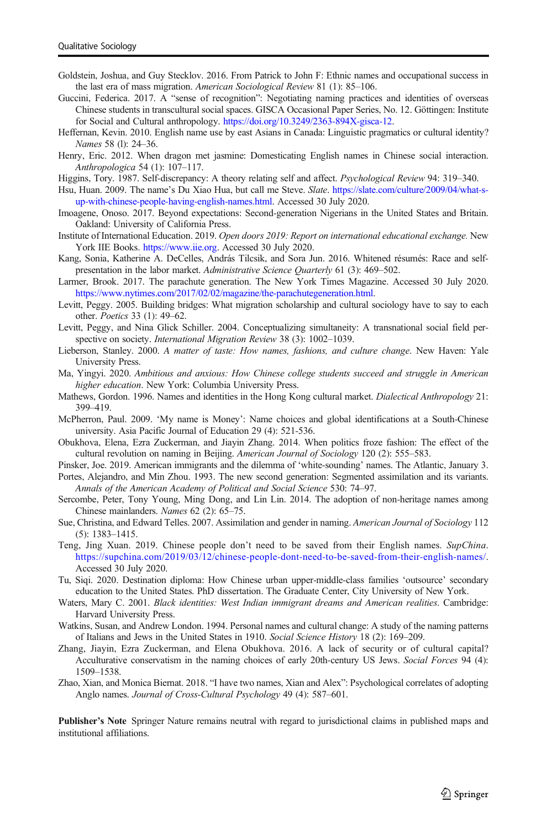- <span id="page-20-0"></span>Goldstein, Joshua, and Guy Stecklov. 2016. From Patrick to John F: Ethnic names and occupational success in the last era of mass migration. American Sociological Review 81 (1): 85–106.
- Guccini, Federica. 2017. A "sense of recognition": Negotiating naming practices and identities of overseas Chinese students in transcultural social spaces. GISCA Occasional Paper Series, No. 12. Göttingen: Institute for Social and Cultural anthropology. <https://doi.org/10.3249/2363-894X-gisca-12>.
- Heffernan, Kevin. 2010. English name use by east Asians in Canada: Linguistic pragmatics or cultural identity? Names 58 (l): 24–36.
- Henry, Eric. 2012. When dragon met jasmine: Domesticating English names in Chinese social interaction. Anthropologica 54 (1): 107–117.
- Higgins, Tory. 1987. Self-discrepancy: A theory relating self and affect. Psychological Review 94: 319–340.
- Hsu, Huan. 2009. The name's Du Xiao Hua, but call me Steve. Slate. [https://slate.com/culture/2009/04/what-s](https://doi.org/10.3249/2363-894X-gisca-12)[up-with-chinese-people-having-english-names.html.](https://doi.org/10.3249/2363-894X-gisca-12) Accessed 30 July 2020.
- Imoagene, Onoso. 2017. Beyond expectations: Second-generation Nigerians in the United States and Britain. Oakland: University of California Press.
- Institute of International Education. 2019. Open doors 2019: Report on international educational exchange. New York IIE Books. [https://www.iie.org](https://doi.org/10.3249/2363-894X-gisca-12). Accessed 30 July 2020.
- Kang, Sonia, Katherine A. DeCelles, András Tilcsik, and Sora Jun. 2016. Whitened résumés: Race and selfpresentation in the labor market. Administrative Science Quarterly 61 (3): 469–502.
- Larmer, Brook. 2017. The parachute generation. The New York Times Magazine. Accessed 30 July 2020. [https://www.nytimes.com/2017/02/02/magazine/the-parachutegeneration.html.](https://doi.org/10.3249/2363-894X-gisca-12)
- Levitt, Peggy. 2005. Building bridges: What migration scholarship and cultural sociology have to say to each other. Poetics 33 (1): 49–62.
- Levitt, Peggy, and Nina Glick Schiller. 2004. Conceptualizing simultaneity: A transnational social field perspective on society. *International Migration Review* 38 (3): 1002–1039.
- Lieberson, Stanley. 2000. A matter of taste: How names, fashions, and culture change. New Haven: Yale University Press.
- Ma, Yingyi. 2020. Ambitious and anxious: How Chinese college students succeed and struggle in American higher education. New York: Columbia University Press.
- Mathews, Gordon. 1996. Names and identities in the Hong Kong cultural market. Dialectical Anthropology 21: 399–419.
- McPherron, Paul. 2009. 'My name is Money': Name choices and global identifications at a South-Chinese university. Asia Pacific Journal of Education 29 (4): 521-536.
- Obukhova, Elena, Ezra Zuckerman, and Jiayin Zhang. 2014. When politics froze fashion: The effect of the cultural revolution on naming in Beijing. American Journal of Sociology 120 (2): 555–583.
- Pinsker, Joe. 2019. American immigrants and the dilemma of 'white-sounding' names. The Atlantic, January 3.
- Portes, Alejandro, and Min Zhou. 1993. The new second generation: Segmented assimilation and its variants. Annals of the American Academy of Political and Social Science 530: 74–97.
- Sercombe, Peter, Tony Young, Ming Dong, and Lin Lin. 2014. The adoption of non-heritage names among Chinese mainlanders. Names 62 (2): 65–75.
- Sue, Christina, and Edward Telles. 2007. Assimilation and gender in naming. American Journal of Sociology 112 (5): 1383–1415.
- Teng, Jing Xuan. 2019. Chinese people don't need to be saved from their English names. SupChina. [https://supchina.com/2019/03/12/chinese-people-dont-need-to-be-saved-from-their-english-names/.](https://doi.org/10.3249/2363-894X-gisca-12) Accessed 30 July 2020.
- Tu, Siqi. 2020. Destination diploma: How Chinese urban upper-middle-class families 'outsource' secondary education to the United States. PhD dissertation. The Graduate Center, City University of New York.
- Waters, Mary C. 2001. Black identities: West Indian immigrant dreams and American realities. Cambridge: Harvard University Press.
- Watkins, Susan, and Andrew London. 1994. Personal names and cultural change: A study of the naming patterns of Italians and Jews in the United States in 1910. Social Science History 18 (2): 169–209.
- Zhang, Jiayin, Ezra Zuckerman, and Elena Obukhova. 2016. A lack of security or of cultural capital? Acculturative conservatism in the naming choices of early 20th-century US Jews. Social Forces 94 (4): 1509–1538.
- Zhao, Xian, and Monica Biernat. 2018. "I have two names, Xian and Alex": Psychological correlates of adopting Anglo names. Journal of Cross-Cultural Psychology 49 (4): 587–601.

Publisher's Note Springer Nature remains neutral with regard to jurisdictional claims in published maps and institutional affiliations.